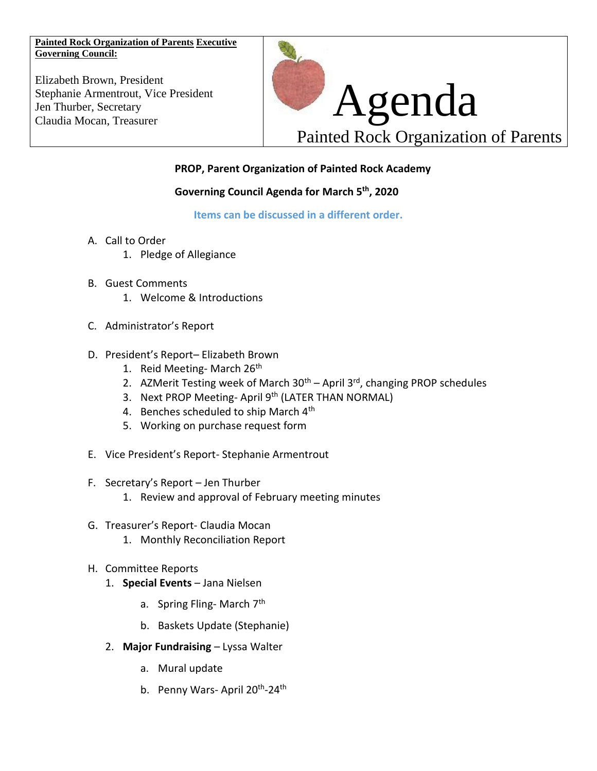**Painted Rock Organization of Parents Executive Governing Council:**

Elizabeth Brown, President Stephanie Armentrout, Vice President Jen Thurber, Secretary



# **PROP, Parent Organization of Painted Rock Academy**

#### **Governing Council Agenda for March 5th, 2020**

**Items can be discussed in a different order.** 

- A. Call to Order
	- 1. Pledge of Allegiance
- B. Guest Comments
	- 1. Welcome & Introductions
- C. Administrator's Report
- D. President's Report– Elizabeth Brown
	- 1. Reid Meeting- March  $26<sup>th</sup>$
	- 2. AZMerit Testing week of March  $30<sup>th</sup>$  April  $3<sup>rd</sup>$ , changing PROP schedules
	- 3. Next PROP Meeting-April 9<sup>th</sup> (LATER THAN NORMAL)
	- 4. Benches scheduled to ship March 4<sup>th</sup>
	- 5. Working on purchase request form
- E. Vice President's Report- Stephanie Armentrout
- F. Secretary's Report Jen Thurber
	- 1. Review and approval of February meeting minutes
- G. Treasurer's Report- Claudia Mocan
	- 1. Monthly Reconciliation Report
- H. Committee Reports
	- 1. **Special Events** Jana Nielsen
		- a. Spring Fling-March 7<sup>th</sup>
		- b. Baskets Update (Stephanie)
	- 2. **Major Fundraising** Lyssa Walter
		- a. Mural update
		- b. Penny Wars-April 20<sup>th</sup>-24<sup>th</sup>